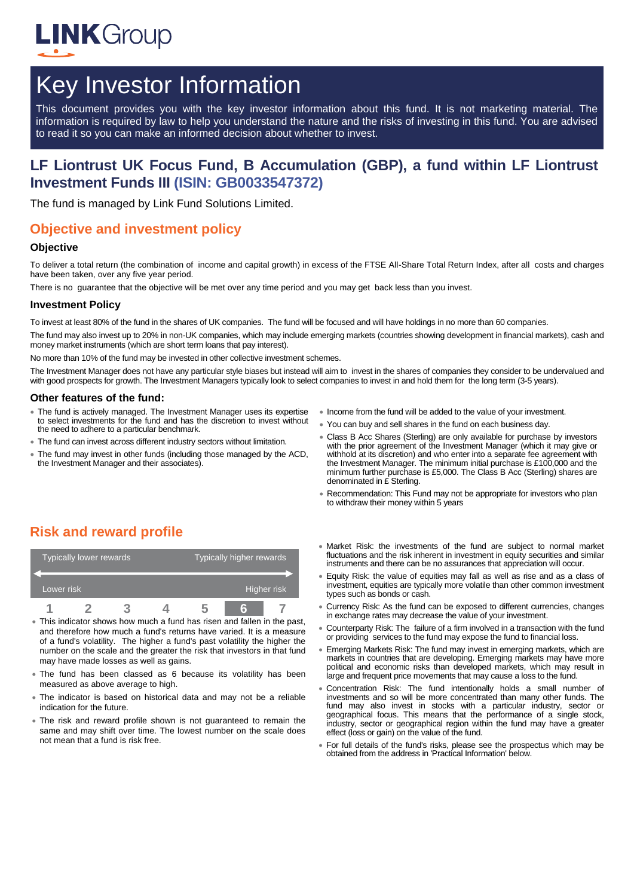

# Key Investor Information

This document provides you with the key investor information about this fund. It is not marketing material. The information is required by law to help you understand the nature and the risks of investing in this fund. You are advised to read it so you can make an informed decision about whether to invest.

## **LF Liontrust UK Focus Fund, B Accumulation (GBP), a fund within LF Liontrust Investment Funds III (ISIN: GB0033547372)**

The fund is managed by Link Fund Solutions Limited.

## **Objective and investment policy**

#### **Objective**

To deliver a total return (the combination of income and capital growth) in excess of the FTSE All-Share Total Return Index, after all costs and charges have been taken, over any five year period.

There is no guarantee that the objective will be met over any time period and you may get back less than you invest.

#### **Investment Policy**

To invest at least 80% of the fund in the shares of UK companies. The fund will be focused and will have holdings in no more than 60 companies.

The fund mav also invest up to 20% in non-UK companies, which may include emerging markets (countries showing development in financial markets), cash and money market instruments (which are short term loans that pay interest).

No more than 10% of the fund may be invested in other collective investment schemes.

The Investment Manager does not have any particular style biases but instead will aim to invest in the shares of companies they consider to be undervalued and with good prospects for growth. The Investment Managers typically look to select companies to invest in and hold them for the long term (3-5 years).

#### **Other features of the fund:**

- The fund is actively managed. The Investment Manager uses its expertise to select investments for the fund and has the discretion to invest without the need to adhere to a particular benchmark.
- The fund can invest across different industry sectors without limitation.
- The fund may invest in other funds (including those managed by the ACD, the Investment Manager and their associates).
- Income from the fund will be added to the value of your investment.
- You can buy and sell shares in the fund on each business day.
- Class B Acc Shares (Sterling) are only available for purchase by investors with the prior agreement of the Investment Manager (which it may give or withhold at its discretion) and who enter into a separate fee agreement with the Investment Manager. The minimum initial purchase is £100,000 and the minimum further purchase is £5,000. The Class B Acc (Sterling) shares are denominated in £ Sterling.
- Recommendation: This Fund may not be appropriate for investors who plan to withdraw their money within 5 years

## **Risk and reward profile**

|            | Typically lower rewards |  | Typically higher rewards |  |  |
|------------|-------------------------|--|--------------------------|--|--|
| Lower risk |                         |  | Higher risk              |  |  |
| n          |                         |  |                          |  |  |

- This indicator shows how much a fund has risen and fallen in the past, and therefore how much a fund's returns have varied. It is a measure of a fund's volatility. The higher a fund's past volatility the higher the number on the scale and the greater the risk that investors in that fund may have made losses as well as gains.
- The fund has been classed as 6 because its volatility has been measured as above average to high.
- The indicator is based on historical data and may not be a reliable indication for the future.
- The risk and reward profile shown is not guaranteed to remain the same and may shift over time. The lowest number on the scale does not mean that a fund is risk free.
- Market Risk: the investments of the fund are subject to normal market fluctuations and the risk inherent in investment in equity securities and similar instruments and there can be no assurances that appreciation will occur.
- Equity Risk: the value of equities may fall as well as rise and as a class of investment, equities are typically more volatile than other common investment types such as bonds or cash.
- Currency Risk: As the fund can be exposed to different currencies, changes in exchange rates may decrease the value of your investment.
- Counterparty Risk: The failure of a firm involved in a transaction with the fund or providing services to the fund may expose the fund to financial loss.
- Emerging Markets Risk: The fund may invest in emerging markets, which are markets in countries that are developing. Emerging markets may have more political and economic risks than developed markets, which may result in large and frequent price movements that may cause a loss to the fund.
- Concentration Risk: The fund intentionally holds a small number of investments and so will be more concentrated than many other funds. The fund may also invest in stocks with a particular industry, sector or geographical focus. This means that the performance of a single stock, industry, sector or geographical region within the fund may have a greater effect (loss or gain) on the value of the fund.
- For full details of the fund's risks, please see the prospectus which may be obtained from the address in 'Practical Information' below.